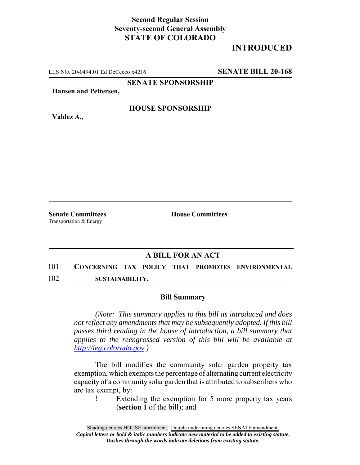## **Second Regular Session Seventy-second General Assembly STATE OF COLORADO**

## **INTRODUCED**

LLS NO. 20-0494.01 Ed DeCecco x4216 **SENATE BILL 20-168**

**SENATE SPONSORSHIP**

**Hansen and Pettersen,**

**HOUSE SPONSORSHIP**

**Valdez A.,**

Transportation & Energy

**Senate Committees House Committees** 

## **A BILL FOR AN ACT**

101 **CONCERNING TAX POLICY THAT PROMOTES ENVIRONMENTAL** 102 **SUSTAINABILITY.**

## **Bill Summary**

*(Note: This summary applies to this bill as introduced and does not reflect any amendments that may be subsequently adopted. If this bill passes third reading in the house of introduction, a bill summary that applies to the reengrossed version of this bill will be available at http://leg.colorado.gov.)*

The bill modifies the community solar garden property tax exemption, which exempts the percentage of alternating current electricity capacity of a community solar garden that is attributed to subscribers who are tax exempt, by:

! Extending the exemption for 5 more property tax years (**section 1** of the bill); and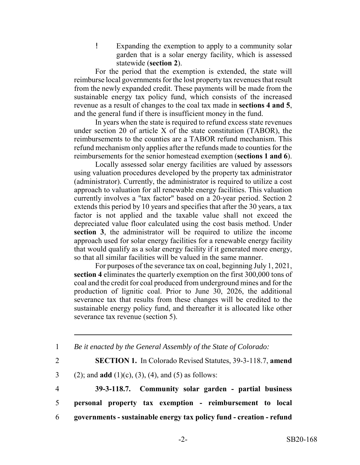! Expanding the exemption to apply to a community solar garden that is a solar energy facility, which is assessed statewide (**section 2**).

For the period that the exemption is extended, the state will reimburse local governments for the lost property tax revenues that result from the newly expanded credit. These payments will be made from the sustainable energy tax policy fund, which consists of the increased revenue as a result of changes to the coal tax made in **sections 4 and 5**, and the general fund if there is insufficient money in the fund.

In years when the state is required to refund excess state revenues under section 20 of article X of the state constitution (TABOR), the reimbursements to the counties are a TABOR refund mechanism. This refund mechanism only applies after the refunds made to counties for the reimbursements for the senior homestead exemption (**sections 1 and 6**).

Locally assessed solar energy facilities are valued by assessors using valuation procedures developed by the property tax administrator (administrator). Currently, the administrator is required to utilize a cost approach to valuation for all renewable energy facilities. This valuation currently involves a "tax factor" based on a 20-year period. Section 2 extends this period by 10 years and specifies that after the 30 years, a tax factor is not applied and the taxable value shall not exceed the depreciated value floor calculated using the cost basis method. Under **section 3**, the administrator will be required to utilize the income approach used for solar energy facilities for a renewable energy facility that would qualify as a solar energy facility if it generated more energy, so that all similar facilities will be valued in the same manner.

For purposes of the severance tax on coal, beginning July 1, 2021, **section 4** eliminates the quarterly exemption on the first 300,000 tons of coal and the credit for coal produced from underground mines and for the production of lignitic coal. Prior to June 30, 2026, the additional severance tax that results from these changes will be credited to the sustainable energy policy fund, and thereafter it is allocated like other severance tax revenue (section 5).

1 *Be it enacted by the General Assembly of the State of Colorado:*

2 **SECTION 1.** In Colorado Revised Statutes, 39-3-118.7, **amend**

3 (2); and **add** (1)(c), (3), (4), and (5) as follows:

4 **39-3-118.7. Community solar garden - partial business** 5 **personal property tax exemption - reimbursement to local** 6 **governments - sustainable energy tax policy fund - creation - refund**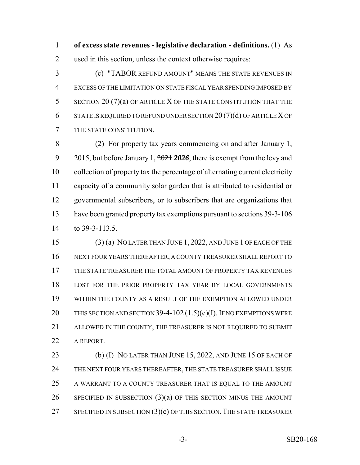**of excess state revenues - legislative declaration - definitions.** (1) As used in this section, unless the context otherwise requires:

 (c) "TABOR REFUND AMOUNT" MEANS THE STATE REVENUES IN EXCESS OF THE LIMITATION ON STATE FISCAL YEAR SPENDING IMPOSED BY SECTION 20 (7)(a) OF ARTICLE X OF THE STATE CONSTITUTION THAT THE STATE IS REQUIRED TO REFUND UNDER SECTION 20 (7)(d) OF ARTICLE X OF THE STATE CONSTITUTION.

 (2) For property tax years commencing on and after January 1, 2015, but before January 1, 2021 *2026*, there is exempt from the levy and collection of property tax the percentage of alternating current electricity capacity of a community solar garden that is attributed to residential or governmental subscribers, or to subscribers that are organizations that have been granted property tax exemptions pursuant to sections 39-3-106 to 39-3-113.5.

 (3) (a) NO LATER THAN JUNE 1, 2022, AND JUNE 1 OF EACH OF THE NEXT FOUR YEARS THEREAFTER, A COUNTY TREASURER SHALL REPORT TO THE STATE TREASURER THE TOTAL AMOUNT OF PROPERTY TAX REVENUES LOST FOR THE PRIOR PROPERTY TAX YEAR BY LOCAL GOVERNMENTS WITHIN THE COUNTY AS A RESULT OF THE EXEMPTION ALLOWED UNDER THIS SECTION AND SECTION 39-4-102 (1.5)(e)(I). IF NO EXEMPTIONS WERE ALLOWED IN THE COUNTY, THE TREASURER IS NOT REQUIRED TO SUBMIT A REPORT.

23 (b) (I) NO LATER THAN JUNE 15, 2022, AND JUNE 15 OF EACH OF THE NEXT FOUR YEARS THEREAFTER, THE STATE TREASURER SHALL ISSUE A WARRANT TO A COUNTY TREASURER THAT IS EQUAL TO THE AMOUNT SPECIFIED IN SUBSECTION (3)(a) OF THIS SECTION MINUS THE AMOUNT 27 SPECIFIED IN SUBSECTION  $(3)(c)$  OF THIS SECTION. THE STATE TREASURER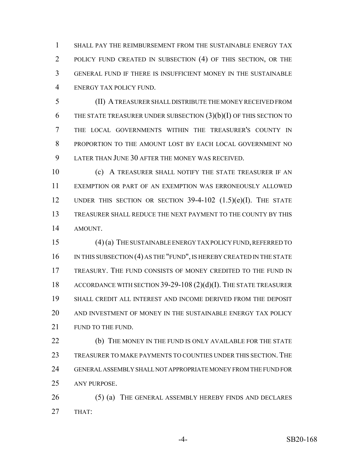SHALL PAY THE REIMBURSEMENT FROM THE SUSTAINABLE ENERGY TAX 2 POLICY FUND CREATED IN SUBSECTION (4) OF THIS SECTION, OR THE GENERAL FUND IF THERE IS INSUFFICIENT MONEY IN THE SUSTAINABLE ENERGY TAX POLICY FUND.

 (II) A TREASURER SHALL DISTRIBUTE THE MONEY RECEIVED FROM THE STATE TREASURER UNDER SUBSECTION (3)(b)(I) OF THIS SECTION TO THE LOCAL GOVERNMENTS WITHIN THE TREASURER'S COUNTY IN PROPORTION TO THE AMOUNT LOST BY EACH LOCAL GOVERNMENT NO LATER THAN JUNE 30 AFTER THE MONEY WAS RECEIVED.

10 (c) A TREASURER SHALL NOTIFY THE STATE TREASURER IF AN EXEMPTION OR PART OF AN EXEMPTION WAS ERRONEOUSLY ALLOWED UNDER THIS SECTION OR SECTION 39-4-102 (1.5)(e)(I). THE STATE TREASURER SHALL REDUCE THE NEXT PAYMENT TO THE COUNTY BY THIS AMOUNT.

 (4) (a) THE SUSTAINABLE ENERGY TAX POLICY FUND, REFERRED TO 16 IN THIS SUBSECTION (4) AS THE "FUND", IS HEREBY CREATED IN THE STATE TREASURY. THE FUND CONSISTS OF MONEY CREDITED TO THE FUND IN ACCORDANCE WITH SECTION 39-29-108 (2)(d)(I). THE STATE TREASURER SHALL CREDIT ALL INTEREST AND INCOME DERIVED FROM THE DEPOSIT AND INVESTMENT OF MONEY IN THE SUSTAINABLE ENERGY TAX POLICY 21 FUND TO THE FUND.

**(b)** THE MONEY IN THE FUND IS ONLY AVAILABLE FOR THE STATE TREASURER TO MAKE PAYMENTS TO COUNTIES UNDER THIS SECTION. THE GENERAL ASSEMBLY SHALL NOT APPROPRIATE MONEY FROM THE FUND FOR ANY PURPOSE.

26 (5) (a) THE GENERAL ASSEMBLY HEREBY FINDS AND DECLARES THAT: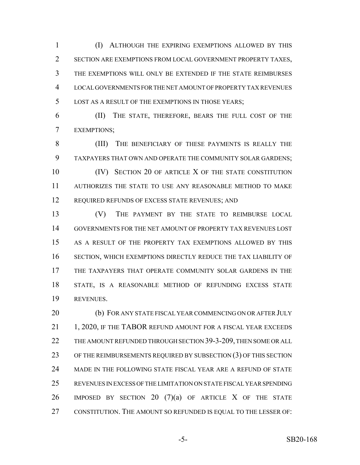(I) ALTHOUGH THE EXPIRING EXEMPTIONS ALLOWED BY THIS SECTION ARE EXEMPTIONS FROM LOCAL GOVERNMENT PROPERTY TAXES, THE EXEMPTIONS WILL ONLY BE EXTENDED IF THE STATE REIMBURSES LOCAL GOVERNMENTS FOR THE NET AMOUNT OF PROPERTY TAX REVENUES LOST AS A RESULT OF THE EXEMPTIONS IN THOSE YEARS;

 (II) THE STATE, THEREFORE, BEARS THE FULL COST OF THE EXEMPTIONS;

 (III) THE BENEFICIARY OF THESE PAYMENTS IS REALLY THE TAXPAYERS THAT OWN AND OPERATE THE COMMUNITY SOLAR GARDENS; **(IV)** SECTION 20 OF ARTICLE X OF THE STATE CONSTITUTION AUTHORIZES THE STATE TO USE ANY REASONABLE METHOD TO MAKE

12 REQUIRED REFUNDS OF EXCESS STATE REVENUES; AND

 (V) THE PAYMENT BY THE STATE TO REIMBURSE LOCAL GOVERNMENTS FOR THE NET AMOUNT OF PROPERTY TAX REVENUES LOST AS A RESULT OF THE PROPERTY TAX EXEMPTIONS ALLOWED BY THIS SECTION, WHICH EXEMPTIONS DIRECTLY REDUCE THE TAX LIABILITY OF THE TAXPAYERS THAT OPERATE COMMUNITY SOLAR GARDENS IN THE STATE, IS A REASONABLE METHOD OF REFUNDING EXCESS STATE REVENUES.

20 (b) FOR ANY STATE FISCAL YEAR COMMENCING ON OR AFTER JULY 21 1, 2020, IF THE TABOR REFUND AMOUNT FOR A FISCAL YEAR EXCEEDS THE AMOUNT REFUNDED THROUGH SECTION 39-3-209, THEN SOME OR ALL 23 OF THE REIMBURSEMENTS REQUIRED BY SUBSECTION (3) OF THIS SECTION MADE IN THE FOLLOWING STATE FISCAL YEAR ARE A REFUND OF STATE REVENUES IN EXCESS OF THE LIMITATION ON STATE FISCAL YEAR SPENDING IMPOSED BY SECTION 20 (7)(a) OF ARTICLE X OF THE STATE CONSTITUTION. THE AMOUNT SO REFUNDED IS EQUAL TO THE LESSER OF: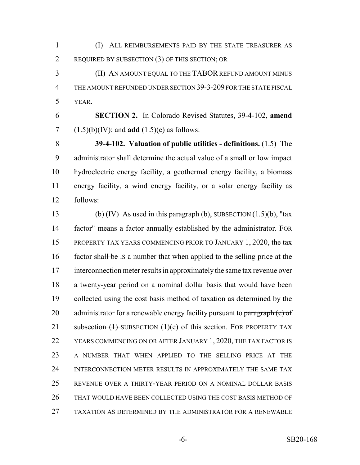(I) ALL REIMBURSEMENTS PAID BY THE STATE TREASURER AS REQUIRED BY SUBSECTION (3) OF THIS SECTION; OR

 (II) AN AMOUNT EQUAL TO THE TABOR REFUND AMOUNT MINUS THE AMOUNT REFUNDED UNDER SECTION 39-3-209 FOR THE STATE FISCAL YEAR.

 **SECTION 2.** In Colorado Revised Statutes, 39-4-102, **amend** 7  $(1.5)(b)(IV)$ ; and **add**  $(1.5)(e)$  as follows:

 **39-4-102. Valuation of public utilities - definitions.** (1.5) The administrator shall determine the actual value of a small or low impact hydroelectric energy facility, a geothermal energy facility, a biomass energy facility, a wind energy facility, or a solar energy facility as follows:

13 (b) (IV) As used in this paragraph  $(b)$ , SUBSECTION  $(1.5)(b)$ , "tax factor" means a factor annually established by the administrator. FOR PROPERTY TAX YEARS COMMENCING PRIOR TO JANUARY 1, 2020, the tax 16 factor shall be IS a number that when applied to the selling price at the interconnection meter results in approximately the same tax revenue over a twenty-year period on a nominal dollar basis that would have been collected using the cost basis method of taxation as determined by the 20 administrator for a renewable energy facility pursuant to  $\frac{\text{param}(\mathbf{e})}{\text{param}(\mathbf{e})}$ 21 subsection  $(1)$  SUBSECTION  $(1)(e)$  of this section. FOR PROPERTY TAX YEARS COMMENCING ON OR AFTER JANUARY 1, 2020, THE TAX FACTOR IS A NUMBER THAT WHEN APPLIED TO THE SELLING PRICE AT THE INTERCONNECTION METER RESULTS IN APPROXIMATELY THE SAME TAX REVENUE OVER A THIRTY-YEAR PERIOD ON A NOMINAL DOLLAR BASIS THAT WOULD HAVE BEEN COLLECTED USING THE COST BASIS METHOD OF TAXATION AS DETERMINED BY THE ADMINISTRATOR FOR A RENEWABLE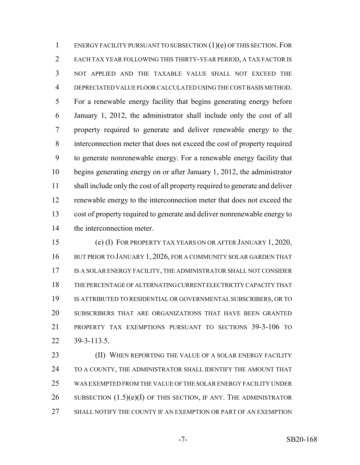ENERGY FACILITY PURSUANT TO SUBSECTION (1)(e) OF THIS SECTION. FOR EACH TAX YEAR FOLLOWING THIS THIRTY-YEAR PERIOD, A TAX FACTOR IS NOT APPLIED AND THE TAXABLE VALUE SHALL NOT EXCEED THE DEPRECIATED VALUE FLOOR CALCULATED USING THE COST BASIS METHOD. For a renewable energy facility that begins generating energy before January 1, 2012, the administrator shall include only the cost of all property required to generate and deliver renewable energy to the interconnection meter that does not exceed the cost of property required to generate nonrenewable energy. For a renewable energy facility that begins generating energy on or after January 1, 2012, the administrator shall include only the cost of all property required to generate and deliver renewable energy to the interconnection meter that does not exceed the cost of property required to generate and deliver nonrenewable energy to the interconnection meter.

 (e) (I) FOR PROPERTY TAX YEARS ON OR AFTER JANUARY 1, 2020, 16 BUT PRIOR TO JANUARY 1, 2026, FOR A COMMUNITY SOLAR GARDEN THAT IS A SOLAR ENERGY FACILITY, THE ADMINISTRATOR SHALL NOT CONSIDER THE PERCENTAGE OF ALTERNATING CURRENT ELECTRICITY CAPACITY THAT IS ATTRIBUTED TO RESIDENTIAL OR GOVERNMENTAL SUBSCRIBERS, OR TO SUBSCRIBERS THAT ARE ORGANIZATIONS THAT HAVE BEEN GRANTED PROPERTY TAX EXEMPTIONS PURSUANT TO SECTIONS 39-3-106 TO 39-3-113.5.

**(II) WHEN REPORTING THE VALUE OF A SOLAR ENERGY FACILITY** 24 TO A COUNTY, THE ADMINISTRATOR SHALL IDENTIFY THE AMOUNT THAT WAS EXEMPTED FROM THE VALUE OF THE SOLAR ENERGY FACILITY UNDER 26 SUBSECTION  $(1.5)(e)(I)$  OF THIS SECTION, IF ANY. THE ADMINISTRATOR SHALL NOTIFY THE COUNTY IF AN EXEMPTION OR PART OF AN EXEMPTION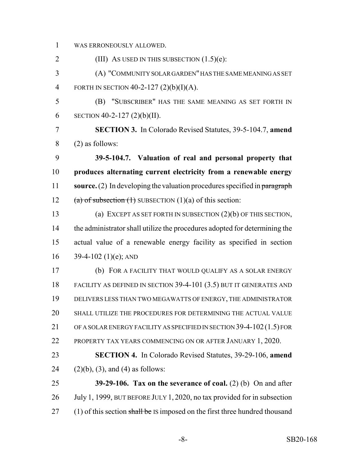WAS ERRONEOUSLY ALLOWED.

2 (III) AS USED IN THIS SUBSECTION (1.5)(e): (A) "COMMUNITY SOLAR GARDEN" HAS THE SAME MEANING AS SET FORTH IN SECTION 40-2-127 (2)(b)(I)(A). (B) "SUBSCRIBER" HAS THE SAME MEANING AS SET FORTH IN 6 SECTION 40-2-127 (2)(b)(II). **SECTION 3.** In Colorado Revised Statutes, 39-5-104.7, **amend** (2) as follows: **39-5-104.7. Valuation of real and personal property that produces alternating current electricity from a renewable energy source.** (2) In developing the valuation procedures specified in paragraph 12 (a) of subsection  $(1)$  SUBSECTION  $(1)(a)$  of this section: (a) EXCEPT AS SET FORTH IN SUBSECTION (2)(b) OF THIS SECTION, the administrator shall utilize the procedures adopted for determining the actual value of a renewable energy facility as specified in section  $39-4-102$  (1)(e); AND (b) FOR A FACILITY THAT WOULD QUALIFY AS A SOLAR ENERGY FACILITY AS DEFINED IN SECTION 39-4-101 (3.5) BUT IT GENERATES AND DELIVERS LESS THAN TWO MEGAWATTS OF ENERGY, THE ADMINISTRATOR SHALL UTILIZE THE PROCEDURES FOR DETERMINING THE ACTUAL VALUE OF A SOLAR ENERGY FACILITY AS SPECIFIED IN SECTION 39-4-102(1.5) FOR PROPERTY TAX YEARS COMMENCING ON OR AFTER JANUARY 1, 2020. **SECTION 4.** In Colorado Revised Statutes, 39-29-106, **amend**  $(2)(b)$ ,  $(3)$ , and  $(4)$  as follows: **39-29-106. Tax on the severance of coal.** (2) (b) On and after July 1, 1999, BUT BEFORE JULY 1, 2020, no tax provided for in subsection 27 (1) of this section shall be IS imposed on the first three hundred thousand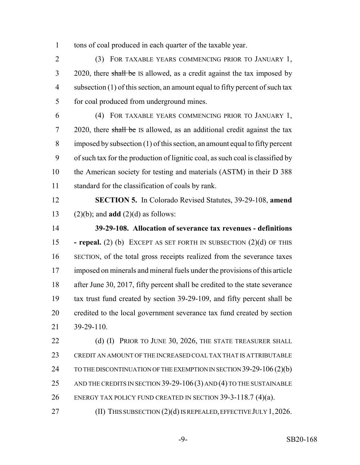tons of coal produced in each quarter of the taxable year.

 (3) FOR TAXABLE YEARS COMMENCING PRIOR TO JANUARY 1, 3 2020, there shall be IS allowed, as a credit against the tax imposed by 4 subsection (1) of this section, an amount equal to fifty percent of such tax for coal produced from underground mines.

 (4) FOR TAXABLE YEARS COMMENCING PRIOR TO JANUARY 1, 7 2020, there shall be IS allowed, as an additional credit against the tax imposed by subsection (1) of this section, an amount equal to fifty percent of such tax for the production of lignitic coal, as such coal is classified by the American society for testing and materials (ASTM) in their D 388 standard for the classification of coals by rank.

 **SECTION 5.** In Colorado Revised Statutes, 39-29-108, **amend** (2)(b); and **add** (2)(d) as follows:

 **39-29-108. Allocation of severance tax revenues - definitions - repeal.** (2) (b) EXCEPT AS SET FORTH IN SUBSECTION (2)(d) OF THIS SECTION, of the total gross receipts realized from the severance taxes imposed on minerals and mineral fuels under the provisions of this article after June 30, 2017, fifty percent shall be credited to the state severance tax trust fund created by section 39-29-109, and fifty percent shall be credited to the local government severance tax fund created by section 39-29-110.

22 (d) (I) PRIOR TO JUNE 30, 2026, THE STATE TREASURER SHALL CREDIT AN AMOUNT OF THE INCREASED COAL TAX THAT IS ATTRIBUTABLE 24 TO THE DISCONTINUATION OF THE EXEMPTION IN SECTION 39-29-106 (2)(b) 25 AND THE CREDITS IN SECTION 39-29-106 (3) AND (4) TO THE SUSTAINABLE ENERGY TAX POLICY FUND CREATED IN SECTION 39-3-118.7 (4)(a).

(II) THIS SUBSECTION (2)(d) IS REPEALED, EFFECTIVE JULY 1,2026.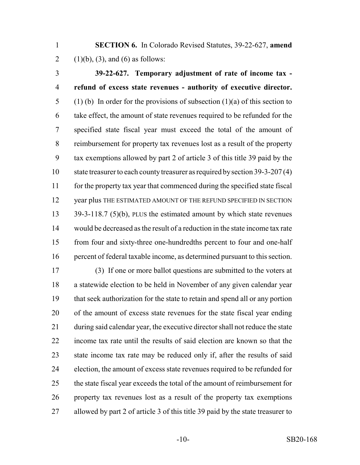**SECTION 6.** In Colorado Revised Statutes, 39-22-627, **amend** 2 (1)(b), (3), and (6) as follows:

 **39-22-627. Temporary adjustment of rate of income tax - refund of excess state revenues - authority of executive director.** 5 (1) (b) In order for the provisions of subsection (1)(a) of this section to take effect, the amount of state revenues required to be refunded for the specified state fiscal year must exceed the total of the amount of reimbursement for property tax revenues lost as a result of the property tax exemptions allowed by part 2 of article 3 of this title 39 paid by the 10 state treasurer to each county treasurer as required by section 39-3-207 (4) for the property tax year that commenced during the specified state fiscal 12 year plus THE ESTIMATED AMOUNT OF THE REFUND SPECIFIED IN SECTION 39-3-118.7 (5)(b), PLUS the estimated amount by which state revenues would be decreased as the result of a reduction in the state income tax rate from four and sixty-three one-hundredths percent to four and one-half percent of federal taxable income, as determined pursuant to this section.

 (3) If one or more ballot questions are submitted to the voters at a statewide election to be held in November of any given calendar year that seek authorization for the state to retain and spend all or any portion of the amount of excess state revenues for the state fiscal year ending during said calendar year, the executive director shall not reduce the state income tax rate until the results of said election are known so that the state income tax rate may be reduced only if, after the results of said election, the amount of excess state revenues required to be refunded for the state fiscal year exceeds the total of the amount of reimbursement for property tax revenues lost as a result of the property tax exemptions allowed by part 2 of article 3 of this title 39 paid by the state treasurer to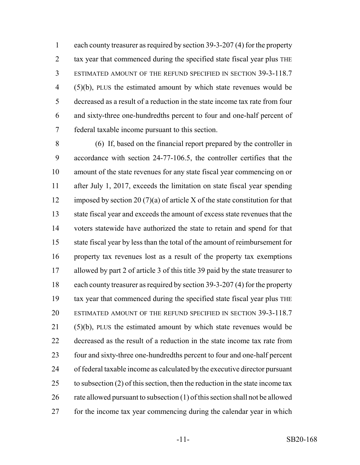each county treasurer as required by section 39-3-207 (4) for the property 2 tax year that commenced during the specified state fiscal year plus THE ESTIMATED AMOUNT OF THE REFUND SPECIFIED IN SECTION 39-3-118.7 (5)(b), PLUS the estimated amount by which state revenues would be decreased as a result of a reduction in the state income tax rate from four and sixty-three one-hundredths percent to four and one-half percent of federal taxable income pursuant to this section.

 (6) If, based on the financial report prepared by the controller in accordance with section 24-77-106.5, the controller certifies that the amount of the state revenues for any state fiscal year commencing on or after July 1, 2017, exceeds the limitation on state fiscal year spending 12 imposed by section 20 (7)(a) of article X of the state constitution for that state fiscal year and exceeds the amount of excess state revenues that the voters statewide have authorized the state to retain and spend for that state fiscal year by less than the total of the amount of reimbursement for property tax revenues lost as a result of the property tax exemptions allowed by part 2 of article 3 of this title 39 paid by the state treasurer to each county treasurer as required by section 39-3-207 (4) for the property tax year that commenced during the specified state fiscal year plus THE ESTIMATED AMOUNT OF THE REFUND SPECIFIED IN SECTION 39-3-118.7 (5)(b), PLUS the estimated amount by which state revenues would be decreased as the result of a reduction in the state income tax rate from four and sixty-three one-hundredths percent to four and one-half percent of federal taxable income as calculated by the executive director pursuant 25 to subsection (2) of this section, then the reduction in the state income tax rate allowed pursuant to subsection (1) of this section shall not be allowed for the income tax year commencing during the calendar year in which